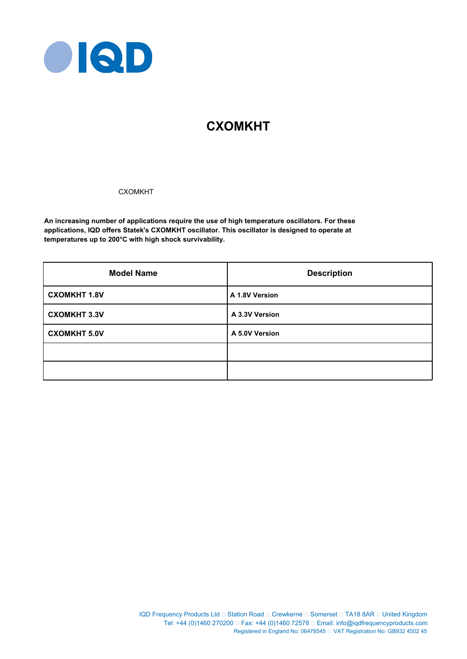

# **CXOMKHT**

### **CXOMKHT**

**An increasing number of applications require the use of high temperature oscillators. For these applications, IQD offers Statek's CXOMKHT oscillator. This oscillator is designed to operate at temperatures up to 200°C with high shock survivability.**

| <b>Model Name</b>   | <b>Description</b> |  |  |
|---------------------|--------------------|--|--|
| <b>CXOMKHT 1.8V</b> | A 1.8V Version     |  |  |
| <b>CXOMKHT 3.3V</b> | A 3.3V Version     |  |  |
| <b>CXOMKHT 5.0V</b> | A 5.0V Version     |  |  |
|                     |                    |  |  |
|                     |                    |  |  |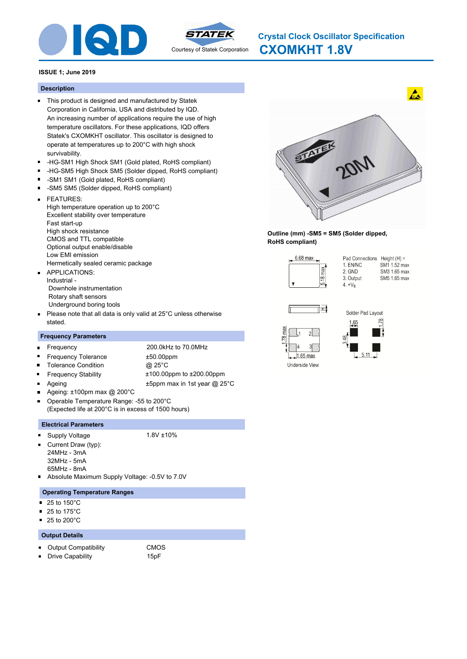



#### **Description**

- This product is designed and manufactured by Statek Corporation in California, USA and distributed by IQD. An increasing number of applications require the use of high temperature oscillators. For these applications, IQD offers Statek's CXOMKHT oscillator. This oscillator is designed to operate at temperatures up to 200°C with high shock survivability.
- -HG-SM1 High Shock SM1 (Gold plated, RoHS compliant)  $\blacksquare$
- $\blacksquare$ -HG-SM5 High Shock SM5 (Solder dipped, RoHS compliant)
- -SM1 SM1 (Gold plated, RoHS compliant)
- -SM5 SM5 (Solder dipped, RoHS compliant)  $\blacksquare$
- FEATURES:  $\blacksquare$ High temperature operation up to 200°C Excellent stability over temperature Fast start-up High shock resistance CMOS and TTL compatible Optional output enable/disable Low EMI emission Hermetically sealed ceramic package
- APPLICATIONS:  $\blacksquare$ Industrial - Downhole instrumentation Rotary shaft sensors Underground boring tools
- Please note that all data is only valid at 25°C unless otherwise  $\blacksquare$ stated.

#### **Frequency Parameters**

- Frequency 200.0kHz to 70.0MHz  $\blacksquare$ Frequency Tolerance ±50.00ppm  $\blacksquare$ Tolerance Condition @ 25°C  $\blacksquare$  $\blacksquare$ Frequency Stability ±100.00ppm to ±200.00ppm Ageing  $\text{H5ppm}$  max in 1st year @ 25°C Ageing: ±100pm max @ 200°C
- Operable Temperature Range: -55 to 200°C
- (Expected life at 200°C is in excess of 1500 hours)

#### **Electrical Parameters**

- Supply Voltage 1.8V ±10%
- Current Draw (typ):  $\blacksquare$
- 24MHz 3mA
- 32MHz 5mA
- 65MHz 8mA
- Absolute Maximum Supply Voltage: -0.5V to 7.0V

#### **Operating Temperature Ranges**

- 25 to 150°C  $\blacksquare$
- $\blacksquare$ 25 to 175°C
- $\blacksquare$ 25 to 200°C

#### **Output Details**

π

Output Compatibility CMOS  $\blacksquare$ 

Drive Capability **15pF** 



**Outline (mm) -SM5 = SM5 (Solder dipped, RoHS compliant)**







 $1.65$  max Underside View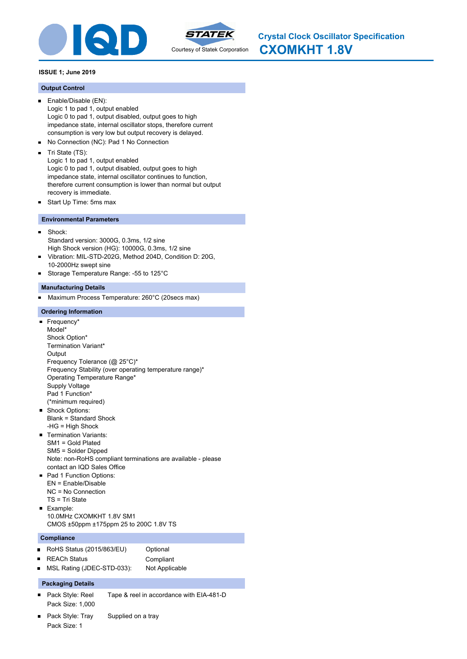



### **Output Control**

- Enable/Disable (EN):  $\blacksquare$ Logic 1 to pad 1, output enabled Logic 0 to pad 1, output disabled, output goes to high impedance state, internal oscillator stops, therefore current consumption is very low but output recovery is delayed.
- No Connection (NC): Pad 1 No Connection  $\blacksquare$
- $\blacksquare$ Tri State (TS):

Logic 1 to pad 1, output enabled Logic 0 to pad 1, output disabled, output goes to high impedance state, internal oscillator continues to function, therefore current consumption is lower than normal but output recovery is immediate.

Start Up Time: 5ms max  $\blacksquare$ 

### **Environmental Parameters**

- $\blacksquare$ Shock: Standard version: 3000G, 0.3ms, 1/2 sine High Shock version (HG): 10000G, 0.3ms, 1/2 sine
- Vibration: MIL-STD-202G, Method 204D, Condition D: 20G,  $\blacksquare$ 10-2000Hz swept sine
- Storage Temperature Range: -55 to 125°C

### **Manufacturing Details**

Maximum Process Temperature: 260°C (20secs max)  $\blacksquare$ 

### **Ordering Information**

Frequency\* Model\* Shock Option\* Termination Variant\* **Output** Frequency Tolerance (@ 25°C)\* Frequency Stability (over operating temperature range)\* Operating Temperature Range\* Supply Voltage Pad 1 Function\* (\*minimum required) Shock Options: Blank = Standard Shock -HG = High Shock **Termination Variants:** SM1 = Gold Plated SM5 = Solder Dipped Note: non-RoHS compliant terminations are available - please contact an IQD Sales Office Pad 1 Function Options: EN = Enable/Disable NC = No Connection TS = Tri State **Example:** 10.0MHz CXOMKHT 1.8V SM1 CMOS ±50ppm ±175ppm 25 to 200C 1.8V TS

### **Compliance**

- $\blacksquare$ RoHS Status (2015/863/EU) Optional REACh Status **Compliant**  $\blacksquare$ MSL Rating (JDEC-STD-033): Not Applicable
- 

### **Packaging Details**

- Pack Style: Reel Tape & reel in accordance with EIA-481-D Pack Size: 1,000
- Pack Style: Tray Supplied on a tray Pack Size: 1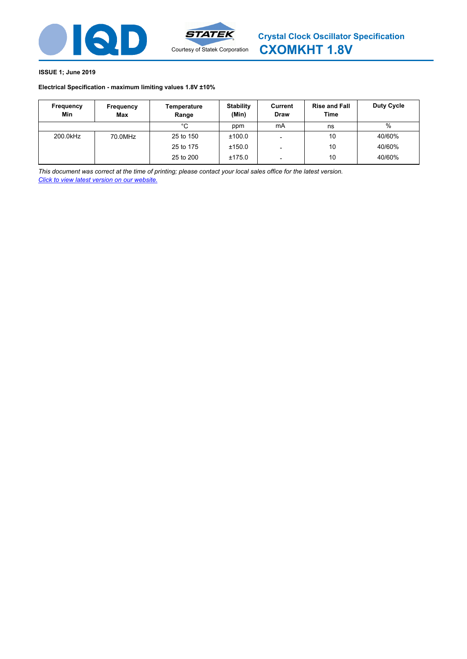

### **Electrical Specification - maximum limiting values [1.8V ±10%](http://www.statek.com)**

| Frequency<br>Min | Frequency<br>Max | Temperature<br>Range | <b>Stability</b><br>(Min) | Current<br><b>Draw</b>   | <b>Rise and Fall</b><br>Time | Duty Cycle |
|------------------|------------------|----------------------|---------------------------|--------------------------|------------------------------|------------|
|                  |                  | °C                   | ppm                       | mA                       | ns                           | %          |
| 200.0kHz         | 70.0MHz          | 25 to 150            | ±100.0                    |                          | 10                           | 40/60%     |
|                  |                  | 25 to 175            | ±150.0                    |                          | 10                           | 40/60%     |
|                  |                  | 25 to 200            | ±175.0                    | $\overline{\phantom{a}}$ | 10                           | 40/60%     |

*This document was correct at the time of printing; please contact your local sales office for the latest version. Click to view latest version on our website.*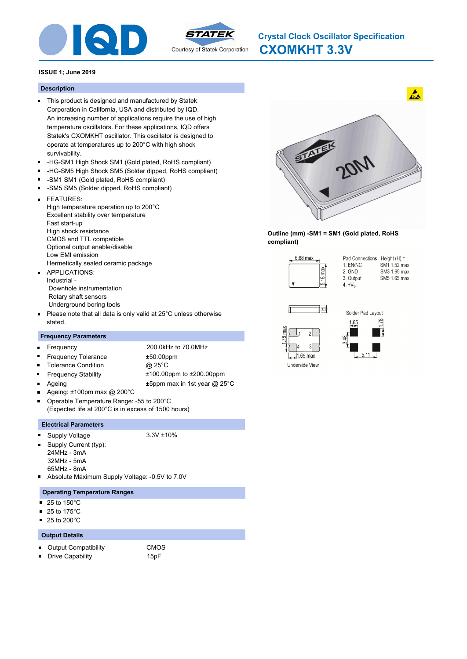



### **Description**

- This product is designed and manufactured by Statek Corporation in California, USA and distributed by IQD. An increasing number of applications require the use of high temperature oscillators. For these applications, IQD offers Statek's CXOMKHT oscillator. This oscillator is designed to operate at temperatures up to 200°C with high shock survivability.
- -HG-SM1 High Shock SM1 (Gold plated, RoHS compliant)  $\blacksquare$
- $\blacksquare$ -HG-SM5 High Shock SM5 (Solder dipped, RoHS compliant)
- -SM1 SM1 (Gold plated, RoHS compliant)
- -SM5 SM5 (Solder dipped, RoHS compliant)  $\blacksquare$
- FEATURES:  $\blacksquare$ High temperature operation up to 200°C Excellent stability over temperature Fast start-up High shock resistance CMOS and TTL compatible Optional output enable/disable Low EMI emission Hermetically sealed ceramic package APPLICATIONS:
- $\blacksquare$ Industrial - Downhole instrumentation Rotary shaft sensors Underground boring tools
- Please note that all data is only valid at 25°C unless otherwise  $\blacksquare$ stated.

### **Frequency Parameters**

- Frequency 200.0kHz to 70.0MHz  $\blacksquare$  $\blacksquare$ Frequency Tolerance ±50.00ppm Tolerance Condition @ 25°C  $\blacksquare$  $\blacksquare$ Frequency Stability ±100.00ppm to ±200.00ppm Ageing  $\text{H5ppm}$  max in 1st year @ 25°C
- Ageing: ±100pm max @ 200°C Operable Temperature Range: -55 to 200°C
- (Expected life at 200°C is in excess of 1500 hours)

### **Electrical Parameters**

Supply Voltage 3.3V ±10%

 $\blacksquare$ 

- 
- Supply Current (typ): 24MHz - 3mA
- 32MHz 5mA
- 65MHz 8mA
- Absolute Maximum Supply Voltage: -0.5V to 7.0V

### **Operating Temperature Ranges**

- 25 to 150°C  $\blacksquare$
- $\blacksquare$ 25 to 175°C
- $\blacksquare$ 25 to 200°C

### **Output Details**

- Output Compatibility CMOS  $\blacksquare$
- Drive Capability **15pF** π



**Outline (mm) -SM1 = SM1 (Gold plated, RoHS compliant)**







 $1.65$  max Underside View

 $\mathcal{D}$  $3\lceil$ 

78 max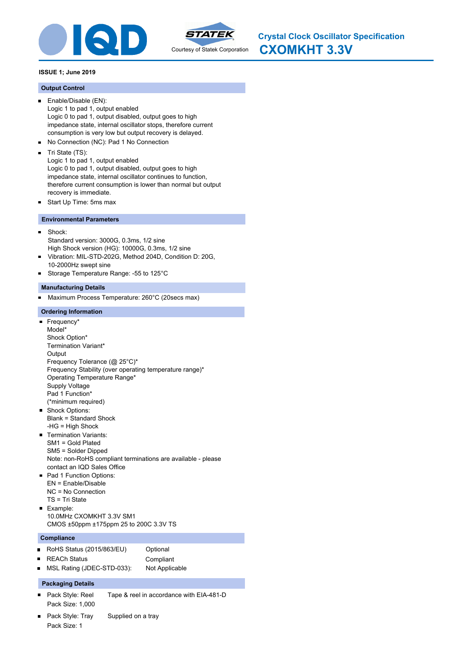



#### **Output Control**

- Enable/Disable (EN):  $\blacksquare$ Logic 1 to pad 1, output enabled Logic 0 to pad 1, output disabled, output goes to high impedance state, internal oscillator stops, therefore current consumption is very low but output recovery is delayed.
- No Connection (NC): Pad 1 No Connection  $\blacksquare$
- $\blacksquare$ Tri State (TS):

Logic 1 to pad 1, output enabled Logic 0 to pad 1, output disabled, output goes to high impedance state, internal oscillator continues to function, therefore current consumption is lower than normal but output recovery is immediate.

Start Up Time: 5ms max  $\blacksquare$ 

#### **Environmental Parameters**

- $\blacksquare$ Shock: Standard version: 3000G, 0.3ms, 1/2 sine High Shock version (HG): 10000G, 0.3ms, 1/2 sine
- Vibration: MIL-STD-202G, Method 204D, Condition D: 20G,  $\blacksquare$ 10-2000Hz swept sine
- Storage Temperature Range: -55 to 125°C

#### **Manufacturing Details**

Maximum Process Temperature: 260°C (20secs max)  $\blacksquare$ 

#### **Ordering Information**

Frequency\* Model\* Shock Option\* Termination Variant\* **Output** Frequency Tolerance (@ 25°C)\* Frequency Stability (over operating temperature range)\* Operating Temperature Range\* Supply Voltage Pad 1 Function\* (\*minimum required) Shock Options: Blank = Standard Shock -HG = High Shock **Termination Variants:** SM1 = Gold Plated SM5 = Solder Dipped Note: non-RoHS compliant terminations are available - please contact an IQD Sales Office Pad 1 Function Options: EN = Enable/Disable NC = No Connection TS = Tri State **Example:** 10.0MHz CXOMKHT 3.3V SM1 CMOS ±50ppm ±175ppm 25 to 200C 3.3V TS

#### **Compliance**

- $\blacksquare$ RoHS Status (2015/863/EU) Optional REACh Status **Compliant**  $\blacksquare$
- MSL Rating (JDEC-STD-033): Not Applicable

### **Packaging Details**

- Pack Style: Reel Tape & reel in accordance with EIA-481-D Pack Size: 1,000
- Pack Style: Tray Supplied on a tray Pack Size: 1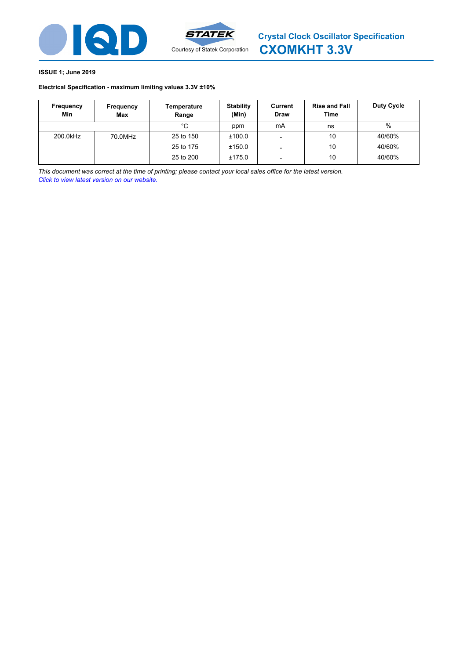

### **Electrical Specification - maximum limiting values [3.3V ±10%](http://www.statek.com)**

| Frequency<br>Min | Frequency<br>Max | Temperature<br>Range | <b>Stability</b><br>(Min) | Current<br><b>Draw</b>   | <b>Rise and Fall</b><br>Time | Duty Cycle |
|------------------|------------------|----------------------|---------------------------|--------------------------|------------------------------|------------|
|                  |                  | °C                   | ppm                       | mA                       | ns                           | %          |
| 200.0kHz         | 70.0MHz          | 25 to 150            | ±100.0                    |                          | 10                           | 40/60%     |
|                  |                  | 25 to 175            | ±150.0                    |                          | 10                           | 40/60%     |
|                  |                  | 25 to 200            | ±175.0                    | $\overline{\phantom{a}}$ | 10                           | 40/60%     |

*This document was correct at the time of printing; please contact your local sales office for the latest version. Click to view latest version on our website.*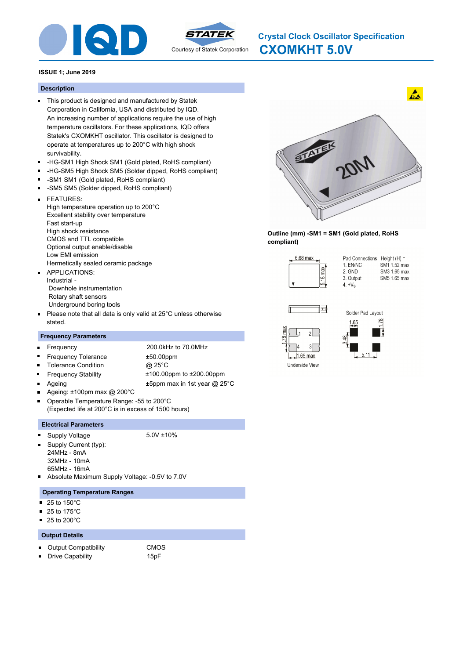



**CXOMKHT 5.0V Crystal Clock Oscillator Specification**

### **ISSUE 1; June 2019**

#### **Description**

- This product is designed and manufactured by Statek Corporation in California, USA and distributed by IQD. An increasing number of applications require the use of high temperature oscillators. For these applications, IQD offers Statek's CXOMKHT oscillator. This oscillator is designed to operate at temperatures up to 200°C with high shock survivability.
- -HG-SM1 High Shock SM1 (Gold plated, RoHS compliant)  $\blacksquare$
- $\blacksquare$ -HG-SM5 High Shock SM5 (Solder dipped, RoHS compliant)
- -SM1 SM1 (Gold plated, RoHS compliant)
- -SM5 SM5 (Solder dipped, RoHS compliant)  $\blacksquare$
- FEATURES:  $\blacksquare$ High temperature operation up to 200°C Excellent stability over temperature Fast start-up High shock resistance CMOS and TTL compatible Optional output enable/disable Low EMI emission Hermetically sealed ceramic package APPLICATIONS:
- $\blacksquare$ Industrial - Downhole instrumentation Rotary shaft sensors Underground boring tools
- Please note that all data is only valid at 25°C unless otherwise  $\blacksquare$ stated.

#### **Frequency Parameters**

- Frequency 200.0kHz to 70.0MHz  $\blacksquare$  $\blacksquare$ Frequency Tolerance ±50.00ppm Tolerance Condition @ 25°C  $\blacksquare$  $\blacksquare$ Frequency Stability ±100.00ppm to ±200.00ppm Ageing  $\text{H5ppm}$  max in 1st year @ 25°C Ageing: ±100pm max @ 200°C
- Operable Temperature Range: -55 to 200°C
- (Expected life at 200°C is in excess of 1500 hours)

#### **Electrical Parameters**

- Supply Voltage 5.0V ±10%
- $\blacksquare$ Supply Current (typ):
- 24MHz 8mA
- 32MHz 10mA
- 65MHz 16mA
- Absolute Maximum Supply Voltage: -0.5V to 7.0V

#### **Operating Temperature Ranges**

- 25 to 150°C  $\blacksquare$
- $\blacksquare$ 25 to 175°C
- $\blacksquare$ 25 to 200°C

#### **Output Details**

- Output Compatibility CMOS  $\blacksquare$
- Drive Capability **15pF**  $\blacksquare$



**Outline (mm) -SM1 = SM1 (Gold plated, RoHS compliant)**







 $5.11$   $\Box$ 

Underside View

78 max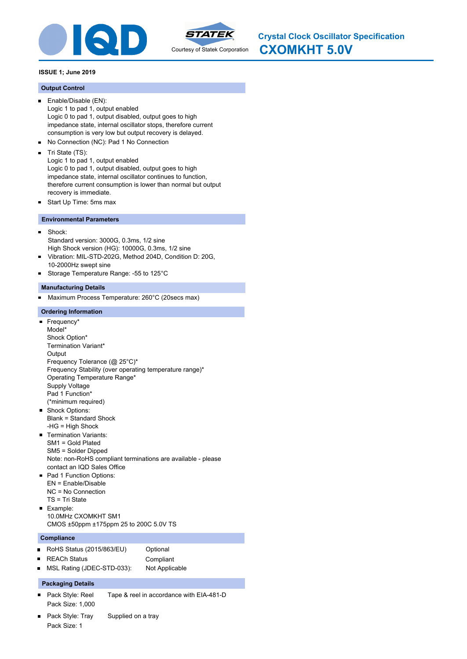



#### **Output Control**

- Enable/Disable (EN):  $\blacksquare$ Logic 1 to pad 1, output enabled Logic 0 to pad 1, output disabled, output goes to high impedance state, internal oscillator stops, therefore current consumption is very low but output recovery is delayed.
- No Connection (NC): Pad 1 No Connection  $\blacksquare$
- $\blacksquare$ Tri State (TS):

Logic 1 to pad 1, output enabled Logic 0 to pad 1, output disabled, output goes to high impedance state, internal oscillator continues to function, therefore current consumption is lower than normal but output recovery is immediate.

Start Up Time: 5ms max  $\blacksquare$ 

#### **Environmental Parameters**

- $\blacksquare$ Shock: Standard version: 3000G, 0.3ms, 1/2 sine High Shock version (HG): 10000G, 0.3ms, 1/2 sine
- Vibration: MIL-STD-202G, Method 204D, Condition D: 20G,  $\blacksquare$ 10-2000Hz swept sine
- Storage Temperature Range: -55 to 125°C

#### **Manufacturing Details**

Maximum Process Temperature: 260°C (20secs max)  $\blacksquare$ 

#### **Ordering Information**

Frequency\* Model\* Shock Option\* Termination Variant\* **Output** Frequency Tolerance (@ 25°C)\* Frequency Stability (over operating temperature range)\* Operating Temperature Range\* Supply Voltage Pad 1 Function\* (\*minimum required) Shock Options: Blank = Standard Shock -HG = High Shock **Termination Variants:** SM1 = Gold Plated SM5 = Solder Dipped Note: non-RoHS compliant terminations are available - please contact an IQD Sales Office Pad 1 Function Options: EN = Enable/Disable NC = No Connection TS = Tri State **Example:** 10.0MHz CXOMKHT SM1 CMOS ±50ppm ±175ppm 25 to 200C 5.0V TS

#### **Compliance**

 $\blacksquare$ RoHS Status (2015/863/EU) Optional REACh Status **Compliant**  $\blacksquare$ 

## MSL Rating (JDEC-STD-033): Not Applicable

### **Packaging Details**

- Pack Style: Reel Tape & reel in accordance with EIA-481-D Pack Size: 1,000
- Pack Style: Tray Supplied on a tray Pack Size: 1